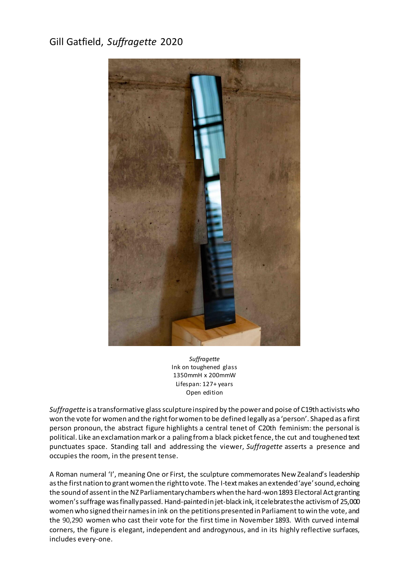## Gill Gatfield, *Suffragette* 2020



*Suffragette* Ink on toughened glass 1350mmH x 200mmW Lifespan: 127+ years Open edition

*Suffragette* is a transformative glass sculpture inspired by the power and poise of C19th activists who won the vote for women and the right for women to be defined legally as a 'person'. Shaped as a first person pronoun, the abstract figure highlights a central tenet of C20th feminism: the personal is political. Like an exclamation mark or a paling from a black picket fence, the cut and toughened text punctuates space. Standing tall and addressing the viewer, *Suffragette* asserts a presence and occupies the room, in the present tense.

A Roman numeral 'I', meaning One or First, the sculpture commemorates New Zealand's leadership as the first nation to grant women the right to vote. The I-text makes an extended 'aye' sound, echoing the sound of assent in the NZ Parliamentary chambers when the hard-won 1893 Electoral Act granting women's suffrage was finally passed. Hand-paintedin jet-black ink, it celebrates the activism of 25,000 women who signed their names in ink on the petitions presented in Parliament to win the vote, and the 90,290 women who cast their vote for the first time in November 1893. With curved internal corners, the figure is elegant, independent and androgynous, and in its highly reflective surfaces, includes every-one.